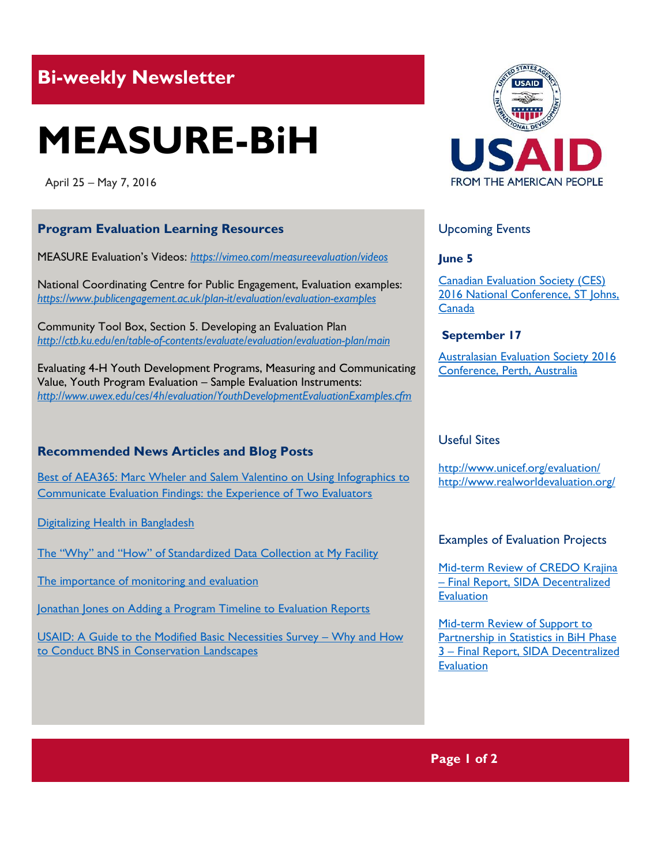# **Bi-weekly Newsletter**

# **MEASURE-BiH**

April 25 – May 7, 2016

# **Program Evaluation Learning Resources**

MEASURE Evaluation's Videos: *<https://vimeo.com/measureevaluation/videos>*

National Coordinating Centre for Public Engagement, Evaluation examples: *<https://www.publicengagement.ac.uk/plan-it/evaluation/evaluation-examples>*

Community Tool Box, Section 5. Developing an Evaluation Plan *<http://ctb.ku.edu/en/table-of-contents/evaluate/evaluation/evaluation-plan/main>*

Evaluating 4-H Youth Development Programs, Measuring and Communicating Value, Youth Program Evaluation – Sample Evaluation Instruments: *<http://www.uwex.edu/ces/4h/evaluation/YouthDevelopmentEvaluationExamples.cfm>*

## **Recommended News Articles and Blog Posts**

[Best of AEA365: Marc Wheler and Salem Valentino on Using Infographics to](http://aea365.org/blog/best-of-aea365-marc-wheeler-and-salem-valentino-on-using-infographics-to-communicate-evaluation-findings-the-experience-of-two-evaluators/?utm_source=feedburner&utm_medium=feed&utm_campaign=Feed%3A+aea365+%28AEA365%29)  [Communicate Evaluation Findings: the Experience of Two Evaluators](http://aea365.org/blog/best-of-aea365-marc-wheeler-and-salem-valentino-on-using-infographics-to-communicate-evaluation-findings-the-experience-of-two-evaluators/?utm_source=feedburner&utm_medium=feed&utm_campaign=Feed%3A+aea365+%28AEA365%29)

[Digitalizing Health in Bangladesh](https://measureevaluation.wordpress.com/2016/04/26/digitalizing-health-in-bangladesh/)

[The "Why" and "How" of Standardized Data Collection at My Facility](https://vimeo.com/158954555)

[The importance of monitoring and evaluation](https://vimeo.com/80404603)

Jonathan Jones on Adding a Program Timeline to Evaluation Reports

[USAID: A Guide to the Modified Basic Necessities Survey](http://mande.co.uk/2016/uncategorized/usaid-a-guide-to-the-modified-basic-necessities-survey-why-and-how-to-conduct-bns-in-conservation-landscapes/) – Why and How [to Conduct BNS in Conservation Landscapes](http://mande.co.uk/2016/uncategorized/usaid-a-guide-to-the-modified-basic-necessities-survey-why-and-how-to-conduct-bns-in-conservation-landscapes/)



## Upcoming Events

#### **June 5**

[Canadian Evaluation Society \(CES\)](http://mande.co.uk/conferences/?event_id1=25)  [2016 National Conference, ST Johns,](http://mande.co.uk/conferences/?event_id1=25)  [Canada](http://mande.co.uk/conferences/?event_id1=25)

#### **September 17**

[Australasian Evaluation Society 2016](http://mande.co.uk/conferences/?event_id1=24)  [Conference, Perth, Australia](http://mande.co.uk/conferences/?event_id1=24)

# Useful Sites

<http://www.unicef.org/evaluation/> <http://www.realworldevaluation.org/>

#### Examples of Evaluation Projects

[Mid-term Review of CREDO Krajina](http://www.indevelop.se/files/672/2015_13_Sida61860en_CREDO_Krajina%20.pdf)  – [Final Report, SIDA Decentralized](http://www.indevelop.se/files/672/2015_13_Sida61860en_CREDO_Krajina%20.pdf)  **[Evaluation](http://www.indevelop.se/files/672/2015_13_Sida61860en_CREDO_Krajina%20.pdf)** 

[Mid-term Review of Support to](http://www.sida.se/contentassets/448028275b024314ac0f0a2e033f04f5/mid-term-review-of-support-to-partnership-in-statistics-in-bih-phase-3---final-report_3752.pdf)  [Partnership in Statistics in BiH Phase](http://www.sida.se/contentassets/448028275b024314ac0f0a2e033f04f5/mid-term-review-of-support-to-partnership-in-statistics-in-bih-phase-3---final-report_3752.pdf)  3 – [Final Report, SIDA Decentralized](http://www.sida.se/contentassets/448028275b024314ac0f0a2e033f04f5/mid-term-review-of-support-to-partnership-in-statistics-in-bih-phase-3---final-report_3752.pdf)  **[Evaluation](http://www.sida.se/contentassets/448028275b024314ac0f0a2e033f04f5/mid-term-review-of-support-to-partnership-in-statistics-in-bih-phase-3---final-report_3752.pdf)** 

**Page 1 of 2**